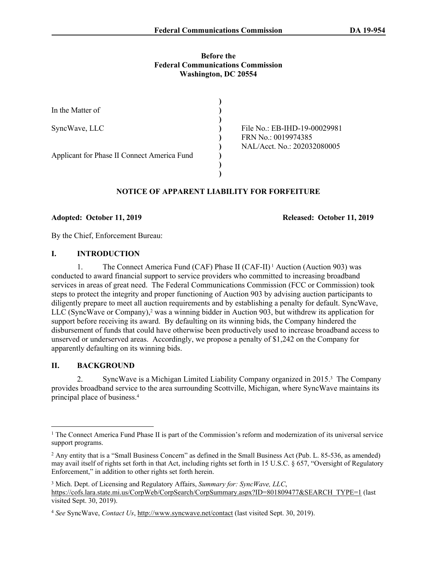### **Before the Federal Communications Commission Washington, DC 20554**

| In the Matter of                            |                              |
|---------------------------------------------|------------------------------|
|                                             |                              |
| SyncWave, LLC                               | File No.: EB-IHD-19-00029981 |
|                                             | FRN No.: 0019974385          |
|                                             | NAL/Acct. No.: 202032080005  |
| Applicant for Phase II Connect America Fund |                              |
|                                             |                              |
|                                             |                              |

# **NOTICE OF APPARENT LIABILITY FOR FORFEITURE**

### **Adopted: October 11, 2019 Released: October 11, 2019**

By the Chief, Enforcement Bureau:

## **I. INTRODUCTION**

1. The Connect America Fund (CAF) Phase II (CAF-II) 1 Auction (Auction 903) was conducted to award financial support to service providers who committed to increasing broadband services in areas of great need. The Federal Communications Commission (FCC or Commission) took steps to protect the integrity and proper functioning of Auction 903 by advising auction participants to diligently prepare to meet all auction requirements and by establishing a penalty for default. SyncWave, LLC (SyncWave or Company),<sup>2</sup> was a winning bidder in Auction 903, but withdrew its application for support before receiving its award. By defaulting on its winning bids, the Company hindered the disbursement of funds that could have otherwise been productively used to increase broadband access to unserved or underserved areas. Accordingly, we propose a penalty of \$1,242 on the Company for apparently defaulting on its winning bids.

# **II. BACKGROUND**

2. SyncWave is a Michigan Limited Liability Company organized in 2015.<sup>3</sup> The Company provides broadband service to the area surrounding Scottville, Michigan, where SyncWave maintains its principal place of business.<sup>4</sup>

<sup>&</sup>lt;sup>1</sup> The Connect America Fund Phase II is part of the Commission's reform and modernization of its universal service support programs.

<sup>&</sup>lt;sup>2</sup> Any entity that is a "Small Business Concern" as defined in the Small Business Act (Pub. L. 85-536, as amended) may avail itself of rights set forth in that Act, including rights set forth in 15 U.S.C. § 657, "Oversight of Regulatory Enforcement," in addition to other rights set forth herein.

<sup>3</sup> Mich. Dept. of Licensing and Regulatory Affairs, *Summary for: SyncWave, LLC*, [https://cofs.lara.state.mi.us/CorpWeb/CorpSearch/CorpSummary.aspx?ID=801809477&SEARCH\\_TYPE=1](https://cofs.lara.state.mi.us/CorpWeb/CorpSearch/CorpSummary.aspx?ID=801809477&SEARCH_TYPE=1) (last visited Sept. 30, 2019).

<sup>4</sup> *See* SyncWave, *Contact Us*, <http://www.syncwave.net/contact>(last visited Sept. 30, 2019).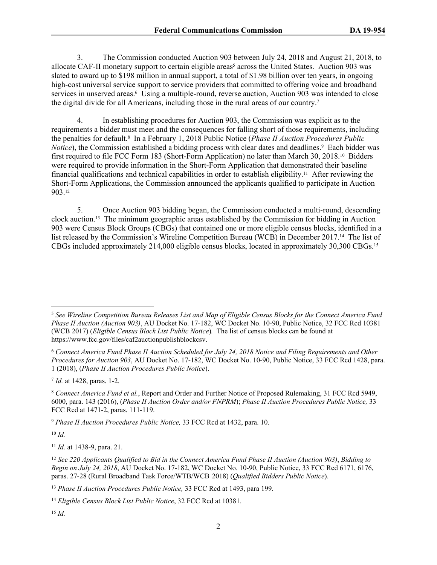3. The Commission conducted Auction 903 between July 24, 2018 and August 21, 2018, to allocate CAF-II monetary support to certain eligible areas<sup>5</sup> across the United States. Auction 903 was slated to award up to \$198 million in annual support, a total of \$1.98 billion over ten years, in ongoing high-cost universal service support to service providers that committed to offering voice and broadband services in unserved areas.<sup>6</sup> Using a multiple-round, reverse auction, Auction 903 was intended to close the digital divide for all Americans, including those in the rural areas of our country.<sup>7</sup>

4. In establishing procedures for Auction 903, the Commission was explicit as to the requirements a bidder must meet and the consequences for falling short of those requirements, including the penalties for default.<sup>8</sup> In a February 1, 2018 Public Notice (*Phase II Auction Procedures Public*  Notice), the Commission established a bidding process with clear dates and deadlines.<sup>9</sup> Each bidder was first required to file FCC Form 183 (Short-Form Application) no later than March 30, 2018.10 Bidders were required to provide information in the Short-Form Application that demonstrated their baseline financial qualifications and technical capabilities in order to establish eligibility.11 After reviewing the Short-Form Applications, the Commission announced the applicants qualified to participate in Auction 903.<sup>12</sup>

5. Once Auction 903 bidding began, the Commission conducted a multi-round, descending clock auction.13 The minimum geographic areas established by the Commission for bidding in Auction 903 were Census Block Groups (CBGs) that contained one or more eligible census blocks, identified in a list released by the Commission's Wireline Competition Bureau (WCB) in December 2017.14 The list of CBGs included approximately 214,000 eligible census blocks, located in approximately 30,300 CBGs.<sup>15</sup>

7 *Id.* at 1428, paras. 1-2.

<sup>9</sup> *Phase II Auction Procedures Public Notice,* 33 FCC Rcd at 1432, para. 10.

<sup>10</sup> *Id.*

<sup>11</sup> *Id.* at 1438-9, para. 21.

<sup>13</sup> *Phase II Auction Procedures Public Notice,* 33 FCC Rcd at 1493, para 199.

<sup>5</sup> *See Wireline Competition Bureau Releases List and Map of Eligible Census Blocks for the Connect America Fund Phase II Auction (Auction 903)*, AU Docket No. 17-182, WC Docket No. 10-90, Public Notice, 32 FCC Rcd 10381 (WCB 2017) (*Eligible Census Block List Public Notice*)*.* The list of census blocks can be found at <https://www.fcc.gov/files/caf2auctionpublishblockcsv>.

<sup>6</sup> *Connect America Fund Phase II Auction Scheduled for July 24, 2018 Notice and Filing Requirements and Other Procedures for Auction 903*, AU Docket No. 17-182, WC Docket No. 10-90, Public Notice, 33 FCC Rcd 1428, para. 1 (2018), (*Phase II Auction Procedures Public Notice*).

<sup>8</sup> *Connect America Fund et al.*, Report and Order and Further Notice of Proposed Rulemaking, 31 FCC Rcd 5949, 6000, para. 143 (2016), (*Phase II Auction Order and/or FNPRM*); *Phase II Auction Procedures Public Notice,* 33 FCC Rcd at 1471-2, paras. 111-119.

<sup>12</sup> *See 220 Applicants Qualified to Bid in the Connect America Fund Phase II Auction (Auction 903)*, *Bidding to Begin on July 24, 2018*, AU Docket No. 17-182, WC Docket No. 10-90, Public Notice, 33 FCC Rcd 6171, 6176, paras. 27-28 (Rural Broadband Task Force/WTB/WCB 2018) (*Qualified Bidders Public Notice*).

<sup>14</sup> *Eligible Census Block List Public Notice*, 32 FCC Rcd at 10381.

<sup>15</sup> *Id.*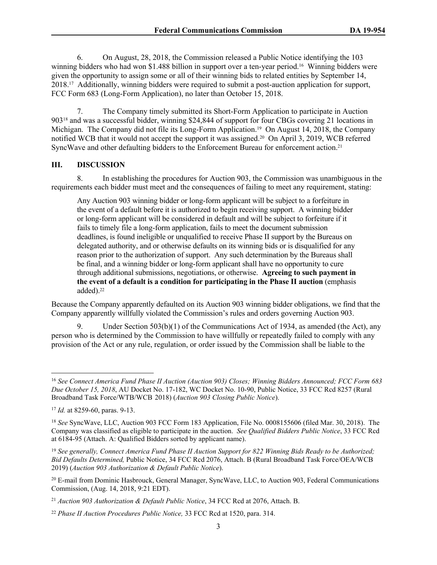6. On August, 28, 2018, the Commission released a Public Notice identifying the 103 winning bidders who had won \$1.488 billion in support over a ten-year period.<sup>16</sup> Winning bidders were given the opportunity to assign some or all of their winning bids to related entities by September 14, 2018.17 Additionally, winning bidders were required to submit a post-auction application for support, FCC Form 683 (Long-Form Application), no later than October 15, 2018.

7. The Company timely submitted its Short-Form Application to participate in Auction 90318 and was a successful bidder, winning \$24,844 of support for four CBGs covering 21 locations in Michigan. The Company did not file its Long-Form Application.<sup>19</sup> On August 14, 2018, the Company notified WCB that it would not accept the support it was assigned.20 On April 3, 2019, WCB referred SyncWave and other defaulting bidders to the Enforcement Bureau for enforcement action.<sup>21</sup>

### **III. DISCUSSION**

8. In establishing the procedures for Auction 903, the Commission was unambiguous in the requirements each bidder must meet and the consequences of failing to meet any requirement, stating:

Any Auction 903 winning bidder or long-form applicant will be subject to a forfeiture in the event of a default before it is authorized to begin receiving support. A winning bidder or long-form applicant will be considered in default and will be subject to forfeiture if it fails to timely file a long-form application, fails to meet the document submission deadlines, is found ineligible or unqualified to receive Phase II support by the Bureaus on delegated authority, and or otherwise defaults on its winning bids or is disqualified for any reason prior to the authorization of support. Any such determination by the Bureaus shall be final, and a winning bidder or long-form applicant shall have no opportunity to cure through additional submissions, negotiations, or otherwise. **Agreeing to such payment in the event of a default is a condition for participating in the Phase II auction** (emphasis added).<sup>22</sup>

Because the Company apparently defaulted on its Auction 903 winning bidder obligations, we find that the Company apparently willfully violated the Commission's rules and orders governing Auction 903.

Under Section  $503(b)(1)$  of the Communications Act of 1934, as amended (the Act), any person who is determined by the Commission to have willfully or repeatedly failed to comply with any provision of the Act or any rule, regulation, or order issued by the Commission shall be liable to the

<sup>16</sup> *See Connect America Fund Phase II Auction (Auction 903) Closes; Winning Bidders Announced; FCC Form 683 Due October 15, 2018*, AU Docket No. 17-182, WC Docket No. 10-90, Public Notice, 33 FCC Rcd 8257 (Rural Broadband Task Force/WTB/WCB 2018) (*Auction 903 Closing Public Notice*).

<sup>17</sup> *Id.* at 8259-60, paras. 9-13.

<sup>18</sup> *See* SyncWave, LLC, Auction 903 FCC Form 183 Application, File No. 0008155606 (filed Mar. 30, 2018). The Company was classified as eligible to participate in the auction. *See Qualified Bidders Public Notice*, 33 FCC Rcd at 6184-95 (Attach. A: Qualified Bidders sorted by applicant name).

<sup>19</sup> *See generally, Connect America Fund Phase II Auction Support for 822 Winning Bids Ready to be Authorized; Bid Defaults Determined,* Public Notice, 34 FCC Rcd 2076, Attach. B (Rural Broadband Task Force/OEA/WCB 2019) (*Auction 903 Authorization & Default Public Notice*).

<sup>20</sup> E-mail from Dominic Hasbrouck, General Manager, SyncWave, LLC, to Auction 903, Federal Communications Commission, (Aug. 14, 2018, 9:21 EDT).

<sup>21</sup> *Auction 903 Authorization & Default Public Notice*, 34 FCC Rcd at 2076, Attach. B.

<sup>22</sup> *Phase II Auction Procedures Public Notice,* 33 FCC Rcd at 1520, para. 314.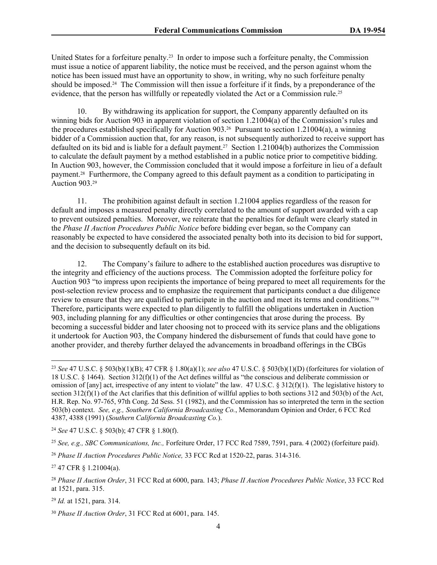United States for a forfeiture penalty.23 In order to impose such a forfeiture penalty, the Commission must issue a notice of apparent liability, the notice must be received, and the person against whom the notice has been issued must have an opportunity to show, in writing, why no such forfeiture penalty should be imposed.24 The Commission will then issue a forfeiture if it finds, by a preponderance of the evidence, that the person has willfully or repeatedly violated the Act or a Commission rule.<sup>25</sup>

10. By withdrawing its application for support, the Company apparently defaulted on its winning bids for Auction 903 in apparent violation of section 1.21004(a) of the Commission's rules and the procedures established specifically for Auction 903.26 Pursuant to section 1.21004(a), a winning bidder of a Commission auction that, for any reason, is not subsequently authorized to receive support has defaulted on its bid and is liable for a default payment.27 Section 1.21004(b) authorizes the Commission to calculate the default payment by a method established in a public notice prior to competitive bidding. In Auction 903, however, the Commission concluded that it would impose a forfeiture in lieu of a default payment.28 Furthermore, the Company agreed to this default payment as a condition to participating in Auction 903.<sup>29</sup>

11. The prohibition against default in section 1.21004 applies regardless of the reason for default and imposes a measured penalty directly correlated to the amount of support awarded with a cap to prevent outsized penalties. Moreover, we reiterate that the penalties for default were clearly stated in the *Phase II Auction Procedures Public Notice* before bidding ever began, so the Company can reasonably be expected to have considered the associated penalty both into its decision to bid for support, and the decision to subsequently default on its bid.

12. The Company's failure to adhere to the established auction procedures was disruptive to the integrity and efficiency of the auctions process. The Commission adopted the forfeiture policy for Auction 903 "to impress upon recipients the importance of being prepared to meet all requirements for the post-selection review process and to emphasize the requirement that participants conduct a due diligence review to ensure that they are qualified to participate in the auction and meet its terms and conditions."30 Therefore, participants were expected to plan diligently to fulfill the obligations undertaken in Auction 903, including planning for any difficulties or other contingencies that arose during the process. By becoming a successful bidder and later choosing not to proceed with its service plans and the obligations it undertook for Auction 903, the Company hindered the disbursement of funds that could have gone to another provider, and thereby further delayed the advancements in broadband offerings in the CBGs

<sup>24</sup> *See* 47 U.S.C. § 503(b); 47 CFR § 1.80(f).

<sup>23</sup> *See* 47 U.S.C. § 503(b)(1)(B); 47 CFR § 1.80(a)(1); *see also* 47 U.S.C. § 503(b)(1)(D) (forfeitures for violation of 18 U.S.C. § 1464). Section 312(f)(1) of the Act defines willful as "the conscious and deliberate commission or omission of [any] act, irrespective of any intent to violate" the law. 47 U.S.C. § 312(f)(1). The legislative history to section  $312(f)(1)$  of the Act clarifies that this definition of willful applies to both sections 312 and 503(b) of the Act, H.R. Rep. No. 97-765, 97th Cong. 2d Sess. 51 (1982), and the Commission has so interpreted the term in the section 503(b) context. *See, e.g., Southern California Broadcasting Co.*, Memorandum Opinion and Order, 6 FCC Rcd 4387, 4388 (1991) (*Southern California Broadcasting Co.*).

<sup>25</sup> *See, e.g., SBC Communications, Inc.,* Forfeiture Order, 17 FCC Rcd 7589, 7591, para. 4 (2002) (forfeiture paid).

<sup>26</sup> *Phase II Auction Procedures Public Notice,* 33 FCC Rcd at 1520-22, paras. 314-316.

<sup>27</sup> 47 CFR § 1.21004(a).

<sup>28</sup> *Phase II Auction Order*, 31 FCC Rcd at 6000, para. 143; *Phase II Auction Procedures Public Notice*, 33 FCC Rcd at 1521, para. 315.

<sup>29</sup> *Id.* at 1521, para. 314.

<sup>30</sup> *Phase II Auction Order*, 31 FCC Rcd at 6001, para. 145.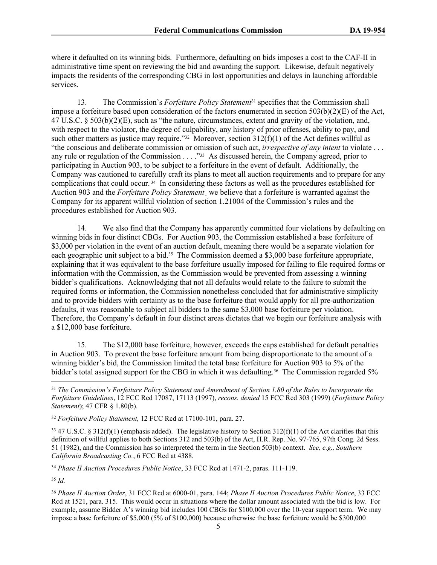where it defaulted on its winning bids. Furthermore, defaulting on bids imposes a cost to the CAF-II in administrative time spent on reviewing the bid and awarding the support. Likewise, default negatively impacts the residents of the corresponding CBG in lost opportunities and delays in launching affordable services.

13. The Commission's *Forfeiture Policy Statement*31 specifies that the Commission shall impose a forfeiture based upon consideration of the factors enumerated in section 503(b)(2)(E) of the Act, 47 U.S.C. § 503(b)(2)(E), such as "the nature, circumstances, extent and gravity of the violation, and, with respect to the violator, the degree of culpability, any history of prior offenses, ability to pay, and such other matters as justice may require."<sup>32</sup> Moreover, section 312(f)(1) of the Act defines willful as "the conscious and deliberate commission or omission of such act, *irrespective of any intent* to violate . . . any rule or regulation of the Commission . . . . "33 As discussed herein, the Company agreed, prior to participating in Auction 903, to be subject to a forfeiture in the event of default. Additionally, the Company was cautioned to carefully craft its plans to meet all auction requirements and to prepare for any complications that could occur. 34 In considering these factors as well as the procedures established for Auction 903 and the *Forfeiture Policy Statement*¸ we believe that a forfeiture is warranted against the Company for its apparent willful violation of section 1.21004 of the Commission's rules and the procedures established for Auction 903.

14. We also find that the Company has apparently committed four violations by defaulting on winning bids in four distinct CBGs. For Auction 903, the Commission established a base forfeiture of \$3,000 per violation in the event of an auction default, meaning there would be a separate violation for each geographic unit subject to a bid.<sup>35</sup> The Commission deemed a \$3,000 base forfeiture appropriate, explaining that it was equivalent to the base forfeiture usually imposed for failing to file required forms or information with the Commission, as the Commission would be prevented from assessing a winning bidder's qualifications. Acknowledging that not all defaults would relate to the failure to submit the required forms or information, the Commission nonetheless concluded that for administrative simplicity and to provide bidders with certainty as to the base forfeiture that would apply for all pre-authorization defaults, it was reasonable to subject all bidders to the same \$3,000 base forfeiture per violation. Therefore, the Company's default in four distinct areas dictates that we begin our forfeiture analysis with a \$12,000 base forfeiture.

15. The \$12,000 base forfeiture, however, exceeds the caps established for default penalties in Auction 903. To prevent the base forfeiture amount from being disproportionate to the amount of a winning bidder's bid, the Commission limited the total base forfeiture for Auction 903 to 5% of the bidder's total assigned support for the CBG in which it was defaulting.<sup>36</sup> The Commission regarded 5%

 $33\overline{47}$  U.S.C. § 312(f)(1) (emphasis added). The legislative history to Section 312(f)(1) of the Act clarifies that this definition of willful applies to both Sections 312 and 503(b) of the Act, H.R. Rep. No. 97-765, 97th Cong. 2d Sess. 51 (1982), and the Commission has so interpreted the term in the Section 503(b) context. *See, e.g., Southern California Broadcasting Co.*, 6 FCC Rcd at 4388.

<sup>34</sup> *Phase II Auction Procedures Public Notice*, 33 FCC Rcd at 1471-2, paras. 111-119.

<sup>35</sup> *Id.*

<sup>31</sup> *The Commission's Forfeiture Policy Statement and Amendment of Section 1.80 of the Rules to Incorporate the Forfeiture Guidelines*, 12 FCC Rcd 17087, 17113 (1997), *recons. denied* 15 FCC Rcd 303 (1999) (*Forfeiture Policy Statement*); 47 CFR § 1.80(b).

<sup>32</sup> *Forfeiture Policy Statement,* 12 FCC Rcd at 17100-101, para. 27.

<sup>36</sup> *Phase II Auction Order*, 31 FCC Rcd at 6000-01, para. 144; *Phase II Auction Procedures Public Notice*, 33 FCC Rcd at 1521, para. 315. This would occur in situations where the dollar amount associated with the bid is low. For example, assume Bidder A's winning bid includes 100 CBGs for \$100,000 over the 10-year support term. We may impose a base forfeiture of \$5,000 (5% of \$100,000) because otherwise the base forfeiture would be \$300,000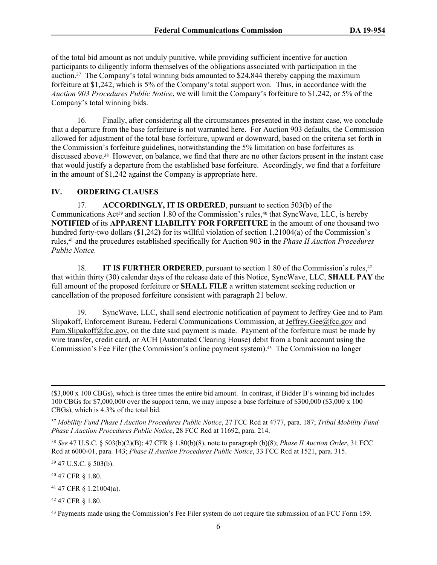of the total bid amount as not unduly punitive, while providing sufficient incentive for auction participants to diligently inform themselves of the obligations associated with participation in the auction.<sup>37</sup> The Company's total winning bids amounted to \$24,844 thereby capping the maximum forfeiture at \$1,242, which is 5% of the Company's total support won. Thus, in accordance with the *Auction 903 Procedures Public Notice*, we will limit the Company's forfeiture to \$1,242, or 5% of the Company's total winning bids.

16. Finally, after considering all the circumstances presented in the instant case, we conclude that a departure from the base forfeiture is not warranted here. For Auction 903 defaults, the Commission allowed for adjustment of the total base forfeiture, upward or downward, based on the criteria set forth in the Commission's forfeiture guidelines, notwithstanding the 5% limitation on base forfeitures as discussed above.38 However, on balance, we find that there are no other factors present in the instant case that would justify a departure from the established base forfeiture. Accordingly, we find that a forfeiture in the amount of \$1,242 against the Company is appropriate here.

#### **IV. ORDERING CLAUSES**

17. **ACCORDINGLY, IT IS ORDERED**, pursuant to section 503(b) of the Communications  $Act^{39}$  and section 1.80 of the Commission's rules,<sup>40</sup> that SyncWave, LLC, is hereby **NOTIFIED** of its **APPARENT LIABILITY FOR FORFEITURE** in the amount of one thousand two hundred forty-two dollars (\$1,242**)** for its willful violation of section 1.21004(a) of the Commission's rules,41 and the procedures established specifically for Auction 903 in the *Phase II Auction Procedures Public Notice.*

18. **IT IS FURTHER ORDERED**, pursuant to section 1.80 of the Commission's rules,<sup>42</sup> that within thirty (30) calendar days of the release date of this Notice, SyncWave, LLC, **SHALL PAY** the full amount of the proposed forfeiture or **SHALL FILE** a written statement seeking reduction or cancellation of the proposed forfeiture consistent with paragraph 21 below.

19. SyncWave, LLC, shall send electronic notification of payment to Jeffrey Gee and to Pam Slipakoff, Enforcement Bureau, Federal Communications Commission, at [Jeffrey.Gee@fcc.gov](mailto:Jeffrey.Gee@fcc.gov) and [Pam.Slipakoff@fcc.gov](mailto:Pam.Slipakoff@fcc.gov), on the date said payment is made. Payment of the forfeiture must be made by wire transfer, credit card, or ACH (Automated Clearing House) debit from a bank account using the Commission's Fee Filer (the Commission's online payment system).<sup>43</sup> The Commission no longer

<sup>38</sup> *See* 47 U.S.C. § 503(b)(2)(B); 47 CFR § 1.80(b)(8), note to paragraph (b)(8); *Phase II Auction Order*, 31 FCC Rcd at 6000-01, para. 143; *Phase II Auction Procedures Public Notice*, 33 FCC Rcd at 1521, para. 315.

<sup>39</sup> 47 U.S.C. § 503(b).

<sup>40</sup> 47 CFR § 1.80.

<sup>41</sup> 47 CFR § 1.21004(a).

<sup>42</sup> 47 CFR § 1.80.

<sup>(\$3,000</sup> x 100 CBGs), which is three times the entire bid amount. In contrast, if Bidder B's winning bid includes 100 CBGs for \$7,000,000 over the support term, we may impose a base forfeiture of \$300,000 (\$3,000 x 100 CBGs), which is 4.3% of the total bid.

<sup>37</sup> *Mobility Fund Phase I Auction Procedures Public Notice*, 27 FCC Rcd at 4777, para. 187; *Tribal Mobility Fund Phase I Auction Procedures Public Notice*, 28 FCC Rcd at 11692, para. 214.

<sup>&</sup>lt;sup>43</sup> Payments made using the Commission's Fee Filer system do not require the submission of an FCC Form 159.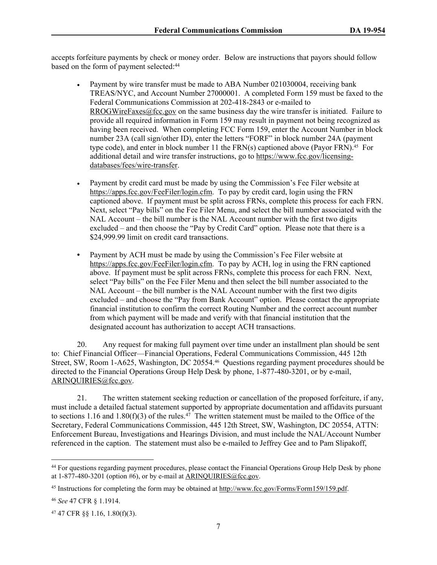accepts forfeiture payments by check or money order. Below are instructions that payors should follow based on the form of payment selected:<sup>44</sup>

- Payment by wire transfer must be made to ABA Number 021030004, receiving bank TREAS/NYC, and Account Number 27000001. A completed Form 159 must be faxed to the Federal Communications Commission at 202-418-2843 or e-mailed to [RROGWireFaxes@fcc.gov](mailto:RROGWireFaxes@fcc.gov) on the same business day the wire transfer is initiated. Failure to provide all required information in Form 159 may result in payment not being recognized as having been received. When completing FCC Form 159, enter the Account Number in block number 23A (call sign/other ID), enter the letters "FORF" in block number 24A (payment type code), and enter in block number 11 the  $FRN(s)$  captioned above (Payor  $FRN$ ).<sup>45</sup> For additional detail and wire transfer instructions, go to [https://www.fcc.gov/licensing](https://www.fcc.gov/licensing-databases/fees/wire-transfer)[databases/fees/wire-transfer.](https://www.fcc.gov/licensing-databases/fees/wire-transfer)
- Payment by credit card must be made by using the Commission's Fee Filer website at <https://apps.fcc.gov/FeeFiler/login.cfm>. To pay by credit card, login using the FRN captioned above. If payment must be split across FRNs, complete this process for each FRN. Next, select "Pay bills" on the Fee Filer Menu, and select the bill number associated with the NAL Account – the bill number is the NAL Account number with the first two digits excluded – and then choose the "Pay by Credit Card" option. Please note that there is a \$24,999.99 limit on credit card transactions.
- **•** Payment by ACH must be made by using the Commission's Fee Filer website at <https://apps.fcc.gov/FeeFiler/login.cfm>. To pay by ACH, log in using the FRN captioned above. If payment must be split across FRNs, complete this process for each FRN. Next, select "Pay bills" on the Fee Filer Menu and then select the bill number associated to the NAL Account – the bill number is the NAL Account number with the first two digits excluded – and choose the "Pay from Bank Account" option. Please contact the appropriate financial institution to confirm the correct Routing Number and the correct account number from which payment will be made and verify with that financial institution that the designated account has authorization to accept ACH transactions.

20. Any request for making full payment over time under an installment plan should be sent to: Chief Financial Officer—Financial Operations, Federal Communications Commission, 445 12th Street, SW, Room 1-A625, Washington, DC 20554.46 Questions regarding payment procedures should be directed to the Financial Operations Group Help Desk by phone, 1-877-480-3201, or by e-mail, [ARINQUIRIES@fcc.gov](mailto:ARINQUIRIES@fcc.gov).

21. The written statement seeking reduction or cancellation of the proposed forfeiture, if any, must include a detailed factual statement supported by appropriate documentation and affidavits pursuant to sections 1.16 and 1.80(f)(3) of the rules.<sup>47</sup> The written statement must be mailed to the Office of the Secretary, Federal Communications Commission, 445 12th Street, SW, Washington, DC 20554, ATTN: Enforcement Bureau, Investigations and Hearings Division, and must include the NAL/Account Number referenced in the caption. The statement must also be e-mailed to Jeffrey Gee and to Pam Slipakoff,

<sup>44</sup> For questions regarding payment procedures, please contact the Financial Operations Group Help Desk by phone at  $1-877-480-3201$  (option #6), or by e-mail at ARINOUIRIES@fcc.gov.

<sup>45</sup> Instructions for completing the form may be obtained at<http://www.fcc.gov/Forms/Form159/159.pdf>.

<sup>46</sup> *See* 47 CFR § 1.1914.

<sup>47</sup> 47 CFR §§ 1.16, 1.80(f)(3).